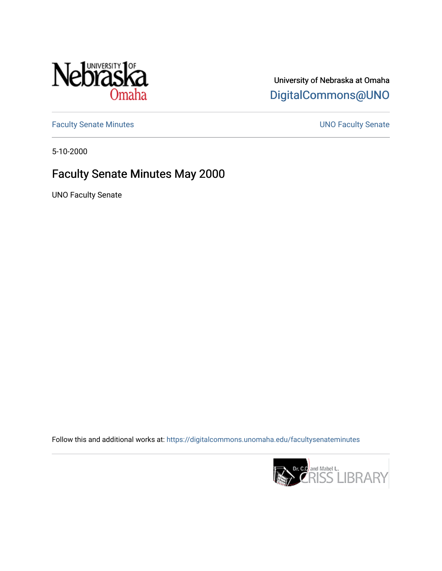

## University of Nebraska at Omaha [DigitalCommons@UNO](https://digitalcommons.unomaha.edu/)

[Faculty Senate Minutes](https://digitalcommons.unomaha.edu/facultysenateminutes) **Exercise Senate UNO Faculty Senate** 

5-10-2000

# Faculty Senate Minutes May 2000

UNO Faculty Senate

Follow this and additional works at: [https://digitalcommons.unomaha.edu/facultysenateminutes](https://digitalcommons.unomaha.edu/facultysenateminutes?utm_source=digitalcommons.unomaha.edu%2Ffacultysenateminutes%2F66&utm_medium=PDF&utm_campaign=PDFCoverPages) 

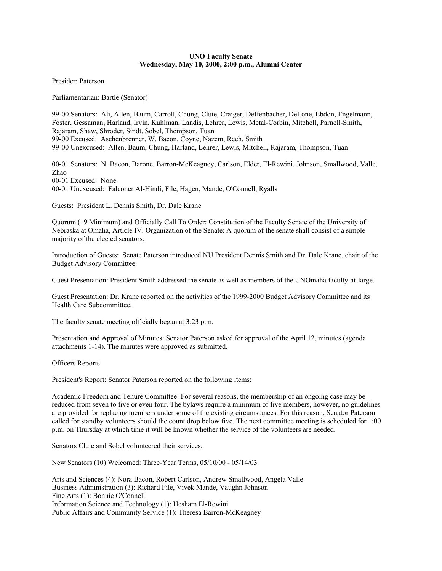#### **UNO Faculty Senate Wednesday, May 10, 2000, 2:00 p.m., Alumni Center**

Presider: Paterson

Parliamentarian: Bartle (Senator)

99-00 Senators: Ali, Allen, Baum, Carroll, Chung, Clute, Craiger, Deffenbacher, DeLone, Ebdon, Engelmann, Foster, Gessaman, Harland, Irvin, Kuhlman, Landis, Lehrer, Lewis, Metal-Corbin, Mitchell, Parnell-Smith, Rajaram, Shaw, Shroder, Sindt, Sobel, Thompson, Tuan 99-00 Excused: Aschenbrenner, W. Bacon, Coyne, Nazem, Rech, Smith 99-00 Unexcused: Allen, Baum, Chung, Harland, Lehrer, Lewis, Mitchell, Rajaram, Thompson, Tuan

00-01 Senators: N. Bacon, Barone, Barron-McKeagney, Carlson, Elder, El-Rewini, Johnson, Smallwood, Valle, Zhao 00-01 Excused: None 00-01 Unexcused: Falconer Al-Hindi, File, Hagen, Mande, O'Connell, Ryalls

Guests: President L. Dennis Smith, Dr. Dale Krane

Quorum (19 Minimum) and Officially Call To Order: Constitution of the Faculty Senate of the University of Nebraska at Omaha, Article IV. Organization of the Senate: A quorum of the senate shall consist of a simple majority of the elected senators.

Introduction of Guests: Senate Paterson introduced NU President Dennis Smith and Dr. Dale Krane, chair of the Budget Advisory Committee.

Guest Presentation: President Smith addressed the senate as well as members of the UNOmaha faculty-at-large.

Guest Presentation: Dr. Krane reported on the activities of the 1999-2000 Budget Advisory Committee and its Health Care Subcommittee.

The faculty senate meeting officially began at 3:23 p.m.

Presentation and Approval of Minutes: Senator Paterson asked for approval of the April 12, minutes (agenda attachments 1-14). The minutes were approved as submitted.

Officers Reports

President's Report: Senator Paterson reported on the following items:

Academic Freedom and Tenure Committee: For several reasons, the membership of an ongoing case may be reduced from seven to five or even four. The bylaws require a minimum of five members, however, no guidelines are provided for replacing members under some of the existing circumstances. For this reason, Senator Paterson called for standby volunteers should the count drop below five. The next committee meeting is scheduled for 1:00 p.m. on Thursday at which time it will be known whether the service of the volunteers are needed.

Senators Clute and Sobel volunteered their services.

New Senators (10) Welcomed: Three-Year Terms, 05/10/00 - 05/14/03

Arts and Sciences (4): Nora Bacon, Robert Carlson, Andrew Smallwood, Angela Valle Business Administration (3): Richard File, Vivek Mande, Vaughn Johnson Fine Arts (1): Bonnie O'Connell Information Science and Technology (1): Hesham El-Rewini Public Affairs and Community Service (1): Theresa Barron-McKeagney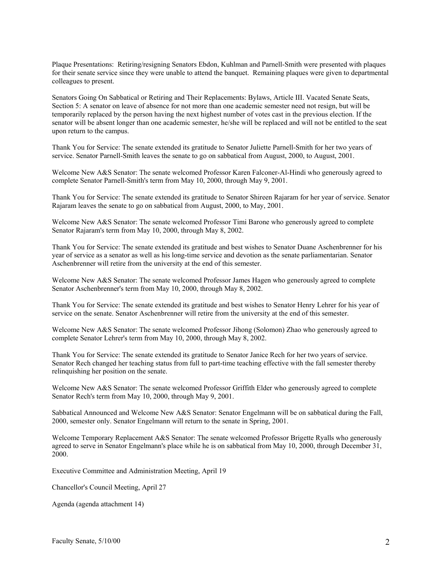Plaque Presentations: Retiring/resigning Senators Ebdon, Kuhlman and Parnell-Smith were presented with plaques for their senate service since they were unable to attend the banquet. Remaining plaques were given to departmental colleagues to present.

Senators Going On Sabbatical or Retiring and Their Replacements: Bylaws, Article III. Vacated Senate Seats, Section 5: A senator on leave of absence for not more than one academic semester need not resign, but will be temporarily replaced by the person having the next highest number of votes cast in the previous election. If the senator will be absent longer than one academic semester, he/she will be replaced and will not be entitled to the seat upon return to the campus.

Thank You for Service: The senate extended its gratitude to Senator Juliette Parnell-Smith for her two years of service. Senator Parnell-Smith leaves the senate to go on sabbatical from August, 2000, to August, 2001.

Welcome New A&S Senator: The senate welcomed Professor Karen Falconer-Al-Hindi who generously agreed to complete Senator Parnell-Smith's term from May 10, 2000, through May 9, 2001.

Thank You for Service: The senate extended its gratitude to Senator Shireen Rajaram for her year of service. Senator Rajaram leaves the senate to go on sabbatical from August, 2000, to May, 2001.

Welcome New A&S Senator: The senate welcomed Professor Timi Barone who generously agreed to complete Senator Rajaram's term from May 10, 2000, through May 8, 2002.

Thank You for Service: The senate extended its gratitude and best wishes to Senator Duane Aschenbrenner for his year of service as a senator as well as his long-time service and devotion as the senate parliamentarian. Senator Aschenbrenner will retire from the university at the end of this semester.

Welcome New A&S Senator: The senate welcomed Professor James Hagen who generously agreed to complete Senator Aschenbrenner's term from May 10, 2000, through May 8, 2002.

Thank You for Service: The senate extended its gratitude and best wishes to Senator Henry Lehrer for his year of service on the senate. Senator Aschenbrenner will retire from the university at the end of this semester.

Welcome New A&S Senator: The senate welcomed Professor Jihong (Solomon) Zhao who generously agreed to complete Senator Lehrer's term from May 10, 2000, through May 8, 2002.

Thank You for Service: The senate extended its gratitude to Senator Janice Rech for her two years of service. Senator Rech changed her teaching status from full to part-time teaching effective with the fall semester thereby relinquishing her position on the senate.

Welcome New A&S Senator: The senate welcomed Professor Griffith Elder who generously agreed to complete Senator Rech's term from May 10, 2000, through May 9, 2001.

Sabbatical Announced and Welcome New A&S Senator: Senator Engelmann will be on sabbatical during the Fall, 2000, semester only. Senator Engelmann will return to the senate in Spring, 2001.

Welcome Temporary Replacement A&S Senator: The senate welcomed Professor Brigette Ryalls who generously agreed to serve in Senator Engelmann's place while he is on sabbatical from May 10, 2000, through December 31, 2000.

Executive Committee and Administration Meeting, April 19

Chancellor's Council Meeting, April 27

Agenda (agenda attachment 14)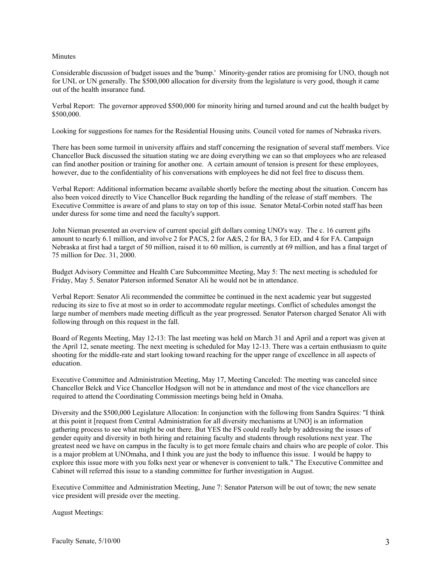#### **Minutes**

Considerable discussion of budget issues and the 'bump.' Minority-gender ratios are promising for UNO, though not for UNL or UN generally. The \$500,000 allocation for diversity from the legislature is very good, though it came out of the health insurance fund.

Verbal Report: The governor approved \$500,000 for minority hiring and turned around and cut the health budget by \$500,000.

Looking for suggestions for names for the Residential Housing units. Council voted for names of Nebraska rivers.

There has been some turmoil in university affairs and staff concerning the resignation of several staff members. Vice Chancellor Buck discussed the situation stating we are doing everything we can so that employees who are released can find another position or training for another one. A certain amount of tension is present for these employees, however, due to the confidentiality of his conversations with employees he did not feel free to discuss them.

Verbal Report: Additional information became available shortly before the meeting about the situation. Concern has also been voiced directly to Vice Chancellor Buck regarding the handling of the release of staff members. The Executive Committee is aware of and plans to stay on top of this issue. Senator Metal-Corbin noted staff has been under duress for some time and need the faculty's support.

John Nieman presented an overview of current special gift dollars coming UNO's way. The c. 16 current gifts amount to nearly 6.1 million, and involve 2 for PACS, 2 for A&S, 2 for BA, 3 for ED, and 4 for FA. Campaign Nebraska at first had a target of 50 million, raised it to 60 million, is currently at 69 million, and has a final target of 75 million for Dec. 31, 2000.

Budget Advisory Committee and Health Care Subcommittee Meeting, May 5: The next meeting is scheduled for Friday, May 5. Senator Paterson informed Senator Ali he would not be in attendance.

Verbal Report: Senator Ali recommended the committee be continued in the next academic year but suggested reducing its size to five at most so in order to accommodate regular meetings. Conflict of schedules amongst the large number of members made meeting difficult as the year progressed. Senator Paterson charged Senator Ali with following through on this request in the fall.

Board of Regents Meeting, May 12-13: The last meeting was held on March 31 and April and a report was given at the April 12, senate meeting. The next meeting is scheduled for May 12-13. There was a certain enthusiasm to quite shooting for the middle-rate and start looking toward reaching for the upper range of excellence in all aspects of education.

Executive Committee and Administration Meeting, May 17, Meeting Canceled: The meeting was canceled since Chancellor Belck and Vice Chancellor Hodgson will not be in attendance and most of the vice chancellors are required to attend the Coordinating Commission meetings being held in Omaha.

Diversity and the \$500,000 Legislature Allocation: In conjunction with the following from Sandra Squires: "I think at this point it [request from Central Administration for all diversity mechanisms at UNO] is an information gathering process to see what might be out there. But YES the FS could really help by addressing the issues of gender equity and diversity in both hiring and retaining faculty and students through resolutions next year. The greatest need we have on campus in the faculty is to get more female chairs and chairs who are people of color. This is a major problem at UNOmaha, and I think you are just the body to influence this issue. I would be happy to explore this issue more with you folks next year or whenever is convenient to talk." The Executive Committee and Cabinet will referred this issue to a standing committee for further investigation in August.

Executive Committee and Administration Meeting, June 7: Senator Paterson will be out of town; the new senate vice president will preside over the meeting.

August Meetings: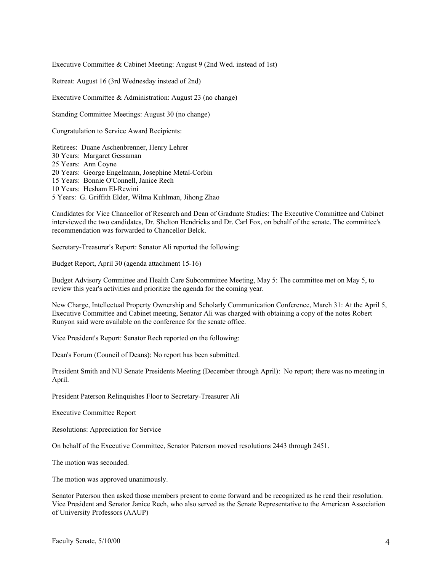Executive Committee & Cabinet Meeting: August 9 (2nd Wed. instead of 1st)

Retreat: August 16 (3rd Wednesday instead of 2nd)

Executive Committee & Administration: August 23 (no change)

Standing Committee Meetings: August 30 (no change)

Congratulation to Service Award Recipients:

Retirees: Duane Aschenbrenner, Henry Lehrer 30 Years: Margaret Gessaman 25 Years: Ann Coyne 20 Years: George Engelmann, Josephine Metal-Corbin 15 Years: Bonnie O'Connell, Janice Rech 10 Years: Hesham El-Rewini 5 Years: G. Griffith Elder, Wilma Kuhlman, Jihong Zhao

Candidates for Vice Chancellor of Research and Dean of Graduate Studies: The Executive Committee and Cabinet interviewed the two candidates, Dr. Shelton Hendricks and Dr. Carl Fox, on behalf of the senate. The committee's recommendation was forwarded to Chancellor Belck.

Secretary-Treasurer's Report: Senator Ali reported the following:

Budget Report, April 30 (agenda attachment 15-16)

Budget Advisory Committee and Health Care Subcommittee Meeting, May 5: The committee met on May 5, to review this year's activities and prioritize the agenda for the coming year.

New Charge, Intellectual Property Ownership and Scholarly Communication Conference, March 31: At the April 5, Executive Committee and Cabinet meeting, Senator Ali was charged with obtaining a copy of the notes Robert Runyon said were available on the conference for the senate office.

Vice President's Report: Senator Rech reported on the following:

Dean's Forum (Council of Deans): No report has been submitted.

President Smith and NU Senate Presidents Meeting (December through April): No report; there was no meeting in April.

President Paterson Relinquishes Floor to Secretary-Treasurer Ali

Executive Committee Report

Resolutions: Appreciation for Service

On behalf of the Executive Committee, Senator Paterson moved resolutions 2443 through 2451.

The motion was seconded.

The motion was approved unanimously.

Senator Paterson then asked those members present to come forward and be recognized as he read their resolution. Vice President and Senator Janice Rech, who also served as the Senate Representative to the American Association of University Professors (AAUP)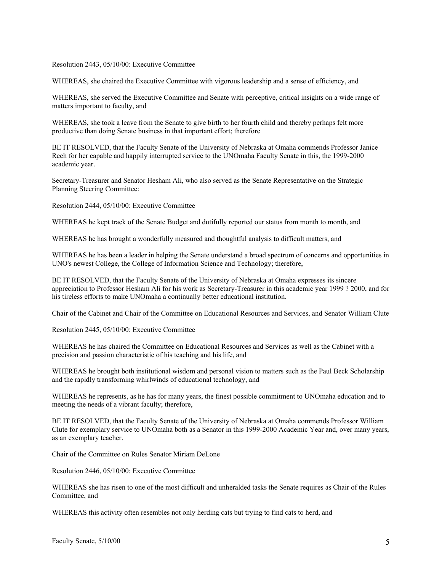Resolution 2443, 05/10/00: Executive Committee

WHEREAS, she chaired the Executive Committee with vigorous leadership and a sense of efficiency, and

WHEREAS, she served the Executive Committee and Senate with perceptive, critical insights on a wide range of matters important to faculty, and

WHEREAS, she took a leave from the Senate to give birth to her fourth child and thereby perhaps felt more productive than doing Senate business in that important effort; therefore

BE IT RESOLVED, that the Faculty Senate of the University of Nebraska at Omaha commends Professor Janice Rech for her capable and happily interrupted service to the UNOmaha Faculty Senate in this, the 1999-2000 academic year.

Secretary-Treasurer and Senator Hesham Ali, who also served as the Senate Representative on the Strategic Planning Steering Committee:

Resolution 2444, 05/10/00: Executive Committee

WHEREAS he kept track of the Senate Budget and dutifully reported our status from month to month, and

WHEREAS he has brought a wonderfully measured and thoughtful analysis to difficult matters, and

WHEREAS he has been a leader in helping the Senate understand a broad spectrum of concerns and opportunities in UNO's newest College, the College of Information Science and Technology; therefore,

BE IT RESOLVED, that the Faculty Senate of the University of Nebraska at Omaha expresses its sincere appreciation to Professor Hesham Ali for his work as Secretary-Treasurer in this academic year 1999 ? 2000, and for his tireless efforts to make UNOmaha a continually better educational institution.

Chair of the Cabinet and Chair of the Committee on Educational Resources and Services, and Senator William Clute

Resolution 2445, 05/10/00: Executive Committee

WHEREAS he has chaired the Committee on Educational Resources and Services as well as the Cabinet with a precision and passion characteristic of his teaching and his life, and

WHEREAS he brought both institutional wisdom and personal vision to matters such as the Paul Beck Scholarship and the rapidly transforming whirlwinds of educational technology, and

WHEREAS he represents, as he has for many years, the finest possible commitment to UNOmaha education and to meeting the needs of a vibrant faculty; therefore,

BE IT RESOLVED, that the Faculty Senate of the University of Nebraska at Omaha commends Professor William Clute for exemplary service to UNOmaha both as a Senator in this 1999-2000 Academic Year and, over many years, as an exemplary teacher.

Chair of the Committee on Rules Senator Miriam DeLone

Resolution 2446, 05/10/00: Executive Committee

WHEREAS she has risen to one of the most difficult and unheralded tasks the Senate requires as Chair of the Rules Committee, and

WHEREAS this activity often resembles not only herding cats but trying to find cats to herd, and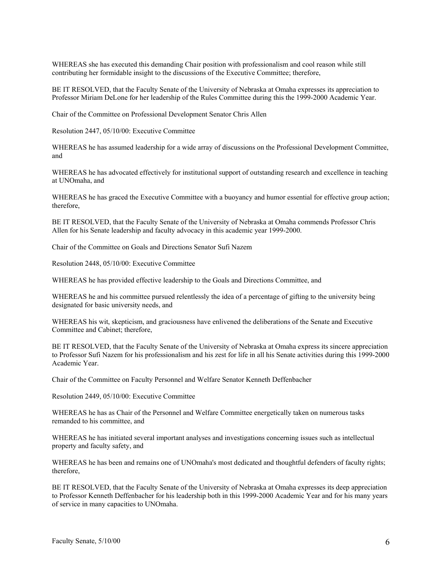WHEREAS she has executed this demanding Chair position with professionalism and cool reason while still contributing her formidable insight to the discussions of the Executive Committee; therefore,

BE IT RESOLVED, that the Faculty Senate of the University of Nebraska at Omaha expresses its appreciation to Professor Miriam DeLone for her leadership of the Rules Committee during this the 1999-2000 Academic Year.

Chair of the Committee on Professional Development Senator Chris Allen

Resolution 2447, 05/10/00: Executive Committee

WHEREAS he has assumed leadership for a wide array of discussions on the Professional Development Committee, and

WHEREAS he has advocated effectively for institutional support of outstanding research and excellence in teaching at UNOmaha, and

WHEREAS he has graced the Executive Committee with a buoyancy and humor essential for effective group action; therefore,

BE IT RESOLVED, that the Faculty Senate of the University of Nebraska at Omaha commends Professor Chris Allen for his Senate leadership and faculty advocacy in this academic year 1999-2000.

Chair of the Committee on Goals and Directions Senator Sufi Nazem

Resolution 2448, 05/10/00: Executive Committee

WHEREAS he has provided effective leadership to the Goals and Directions Committee, and

WHEREAS he and his committee pursued relentlessly the idea of a percentage of gifting to the university being designated for basic university needs, and

WHEREAS his wit, skepticism, and graciousness have enlivened the deliberations of the Senate and Executive Committee and Cabinet; therefore,

BE IT RESOLVED, that the Faculty Senate of the University of Nebraska at Omaha express its sincere appreciation to Professor Sufi Nazem for his professionalism and his zest for life in all his Senate activities during this 1999-2000 Academic Year.

Chair of the Committee on Faculty Personnel and Welfare Senator Kenneth Deffenbacher

Resolution 2449, 05/10/00: Executive Committee

WHEREAS he has as Chair of the Personnel and Welfare Committee energetically taken on numerous tasks remanded to his committee, and

WHEREAS he has initiated several important analyses and investigations concerning issues such as intellectual property and faculty safety, and

WHEREAS he has been and remains one of UNOmaha's most dedicated and thoughtful defenders of faculty rights; therefore,

BE IT RESOLVED, that the Faculty Senate of the University of Nebraska at Omaha expresses its deep appreciation to Professor Kenneth Deffenbacher for his leadership both in this 1999-2000 Academic Year and for his many years of service in many capacities to UNOmaha.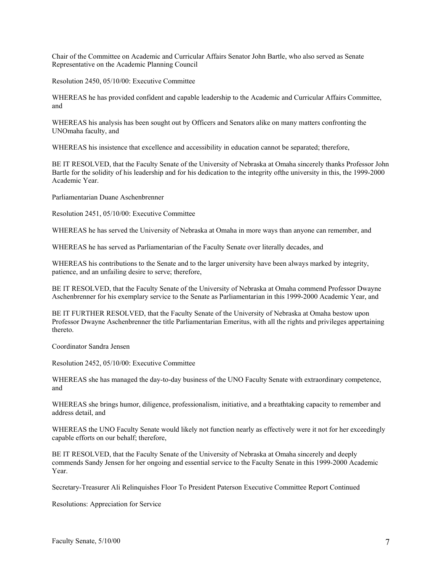Chair of the Committee on Academic and Curricular Affairs Senator John Bartle, who also served as Senate Representative on the Academic Planning Council

Resolution 2450, 05/10/00: Executive Committee

WHEREAS he has provided confident and capable leadership to the Academic and Curricular Affairs Committee, and

WHEREAS his analysis has been sought out by Officers and Senators alike on many matters confronting the UNOmaha faculty, and

WHEREAS his insistence that excellence and accessibility in education cannot be separated; therefore,

BE IT RESOLVED, that the Faculty Senate of the University of Nebraska at Omaha sincerely thanks Professor John Bartle for the solidity of his leadership and for his dedication to the integrity ofthe university in this, the 1999-2000 Academic Year.

Parliamentarian Duane Aschenbrenner

Resolution 2451, 05/10/00: Executive Committee

WHEREAS he has served the University of Nebraska at Omaha in more ways than anyone can remember, and

WHEREAS he has served as Parliamentarian of the Faculty Senate over literally decades, and

WHEREAS his contributions to the Senate and to the larger university have been always marked by integrity, patience, and an unfailing desire to serve; therefore,

BE IT RESOLVED, that the Faculty Senate of the University of Nebraska at Omaha commend Professor Dwayne Aschenbrenner for his exemplary service to the Senate as Parliamentarian in this 1999-2000 Academic Year, and

BE IT FURTHER RESOLVED, that the Faculty Senate of the University of Nebraska at Omaha bestow upon Professor Dwayne Aschenbrenner the title Parliamentarian Emeritus, with all the rights and privileges appertaining thereto.

Coordinator Sandra Jensen

Resolution 2452, 05/10/00: Executive Committee

WHEREAS she has managed the day-to-day business of the UNO Faculty Senate with extraordinary competence, and

WHEREAS she brings humor, diligence, professionalism, initiative, and a breathtaking capacity to remember and address detail, and

WHEREAS the UNO Faculty Senate would likely not function nearly as effectively were it not for her exceedingly capable efforts on our behalf; therefore,

BE IT RESOLVED, that the Faculty Senate of the University of Nebraska at Omaha sincerely and deeply commends Sandy Jensen for her ongoing and essential service to the Faculty Senate in this 1999-2000 Academic Year.

Secretary-Treasurer Ali Relinquishes Floor To President Paterson Executive Committee Report Continued

Resolutions: Appreciation for Service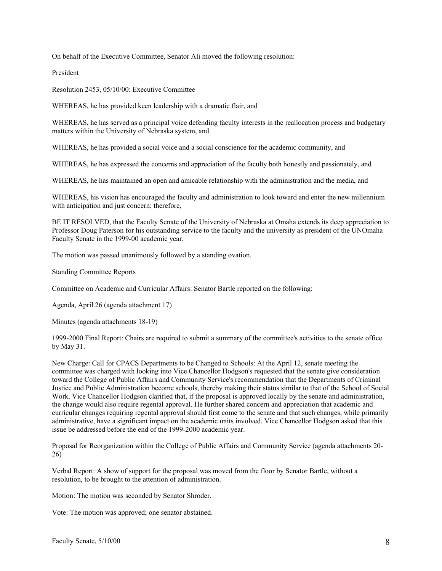On behalf of the Executive Committee, Senator Ali moved the following resolution:

President

Resolution 2453, 05/10/00: Executive Committee

WHEREAS, he has provided keen leadership with a dramatic flair, and

WHEREAS, he has served as a principal voice defending faculty interests in the reallocation process and budgetary matters within the University of Nebraska system, and

WHEREAS, he has provided a social voice and a social conscience for the academic community, and

WHEREAS, he has expressed the concerns and appreciation of the faculty both honestly and passionately, and

WHEREAS, he has maintained an open and amicable relationship with the administration and the media, and

WHEREAS, his vision has encouraged the faculty and administration to look toward and enter the new millennium with anticipation and just concern; therefore,

BE IT RESOLVED, that the Faculty Senate of the University of Nebraska at Omaha extends its deep appreciation to Professor Doug Paterson for his outstanding service to the faculty and the university as president of the UNOmaha Faculty Senate in the 1999-00 academic year.

The motion was passed unanimously followed by a standing ovation.

Standing Committee Reports

Committee on Academic and Curricular Affairs: Senator Bartle reported on the following:

Agenda, April 26 (agenda attachment 17)

Minutes (agenda attachments 18-19)

1999-2000 Final Report: Chairs are required to submit a summary of the committee's activities to the senate office by May 31.

New Charge: Call for CPACS Departments to be Changed to Schools: At the April 12, senate meeting the committee was charged with looking into Vice Chancellor Hodgson's requested that the senate give consideration toward the College of Public Affairs and Community Service's recommendation that the Departments of Criminal Justice and Public Administration become schools, thereby making their status similar to that of the School of Social Work. Vice Chancellor Hodgson clarified that, if the proposal is approved locally by the senate and administration, the change would also require regental approval. He further shared concern and appreciation that academic and curricular changes requiring regental approval should first come to the senate and that such changes, while primarily administrative, have a significant impact on the academic units involved. Vice Chancellor Hodgson asked that this issue be addressed before the end of the 1999-2000 academic year.

Proposal for Reorganization within the College of Public Affairs and Community Service (agenda attachments 20- 26)

Verbal Report: A show of support for the proposal was moved from the floor by Senator Bartle, without a resolution, to be brought to the attention of administration.

Motion: The motion was seconded by Senator Shroder.

Vote: The motion was approved; one senator abstained.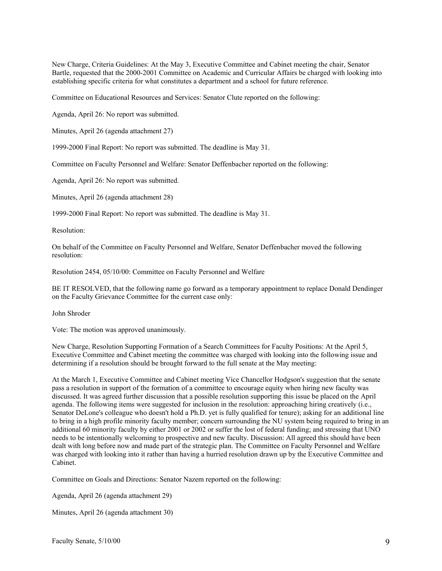New Charge, Criteria Guidelines: At the May 3, Executive Committee and Cabinet meeting the chair, Senator Bartle, requested that the 2000-2001 Committee on Academic and Curricular Affairs be charged with looking into establishing specific criteria for what constitutes a department and a school for future reference.

Committee on Educational Resources and Services: Senator Clute reported on the following:

Agenda, April 26: No report was submitted.

Minutes, April 26 (agenda attachment 27)

1999-2000 Final Report: No report was submitted. The deadline is May 31.

Committee on Faculty Personnel and Welfare: Senator Deffenbacher reported on the following:

Agenda, April 26: No report was submitted.

Minutes, April 26 (agenda attachment 28)

1999-2000 Final Report: No report was submitted. The deadline is May 31.

Resolution:

On behalf of the Committee on Faculty Personnel and Welfare, Senator Deffenbacher moved the following resolution:

Resolution 2454, 05/10/00: Committee on Faculty Personnel and Welfare

BE IT RESOLVED, that the following name go forward as a temporary appointment to replace Donald Dendinger on the Faculty Grievance Committee for the current case only:

John Shroder

Vote: The motion was approved unanimously.

New Charge, Resolution Supporting Formation of a Search Committees for Faculty Positions: At the April 5, Executive Committee and Cabinet meeting the committee was charged with looking into the following issue and determining if a resolution should be brought forward to the full senate at the May meeting:

At the March 1, Executive Committee and Cabinet meeting Vice Chancellor Hodgson's suggestion that the senate pass a resolution in support of the formation of a committee to encourage equity when hiring new faculty was discussed. It was agreed further discussion that a possible resolution supporting this issue be placed on the April agenda. The following items were suggested for inclusion in the resolution: approaching hiring creatively (i.e., Senator DeLone's colleague who doesn't hold a Ph.D. yet is fully qualified for tenure); asking for an additional line to bring in a high profile minority faculty member; concern surrounding the NU system being required to bring in an additional 60 minority faculty by either 2001 or 2002 or suffer the lost of federal funding; and stressing that UNO needs to be intentionally welcoming to prospective and new faculty. Discussion: All agreed this should have been dealt with long before now and made part of the strategic plan. The Committee on Faculty Personnel and Welfare was charged with looking into it rather than having a hurried resolution drawn up by the Executive Committee and Cabinet.

Committee on Goals and Directions: Senator Nazem reported on the following:

Agenda, April 26 (agenda attachment 29)

Minutes, April 26 (agenda attachment 30)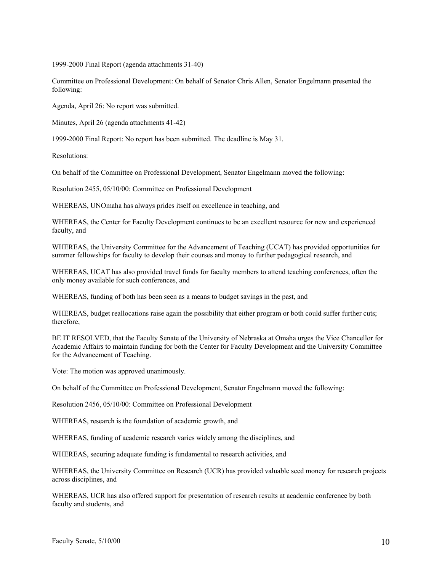1999-2000 Final Report (agenda attachments 31-40)

Committee on Professional Development: On behalf of Senator Chris Allen, Senator Engelmann presented the following:

Agenda, April 26: No report was submitted.

Minutes, April 26 (agenda attachments 41-42)

1999-2000 Final Report: No report has been submitted. The deadline is May 31.

Resolutions:

On behalf of the Committee on Professional Development, Senator Engelmann moved the following:

Resolution 2455, 05/10/00: Committee on Professional Development

WHEREAS, UNOmaha has always prides itself on excellence in teaching, and

WHEREAS, the Center for Faculty Development continues to be an excellent resource for new and experienced faculty, and

WHEREAS, the University Committee for the Advancement of Teaching (UCAT) has provided opportunities for summer fellowships for faculty to develop their courses and money to further pedagogical research, and

WHEREAS, UCAT has also provided travel funds for faculty members to attend teaching conferences, often the only money available for such conferences, and

WHEREAS, funding of both has been seen as a means to budget savings in the past, and

WHEREAS, budget reallocations raise again the possibility that either program or both could suffer further cuts; therefore,

BE IT RESOLVED, that the Faculty Senate of the University of Nebraska at Omaha urges the Vice Chancellor for Academic Affairs to maintain funding for both the Center for Faculty Development and the University Committee for the Advancement of Teaching.

Vote: The motion was approved unanimously.

On behalf of the Committee on Professional Development, Senator Engelmann moved the following:

Resolution 2456, 05/10/00: Committee on Professional Development

WHEREAS, research is the foundation of academic growth, and

WHEREAS, funding of academic research varies widely among the disciplines, and

WHEREAS, securing adequate funding is fundamental to research activities, and

WHEREAS, the University Committee on Research (UCR) has provided valuable seed money for research projects across disciplines, and

WHEREAS, UCR has also offered support for presentation of research results at academic conference by both faculty and students, and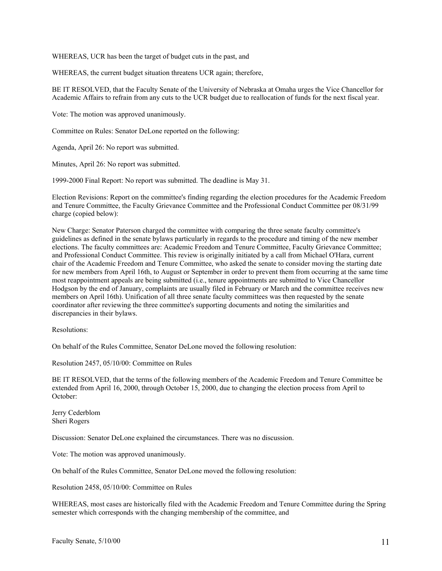WHEREAS, UCR has been the target of budget cuts in the past, and

WHEREAS, the current budget situation threatens UCR again; therefore,

BE IT RESOLVED, that the Faculty Senate of the University of Nebraska at Omaha urges the Vice Chancellor for Academic Affairs to refrain from any cuts to the UCR budget due to reallocation of funds for the next fiscal year.

Vote: The motion was approved unanimously.

Committee on Rules: Senator DeLone reported on the following:

Agenda, April 26: No report was submitted.

Minutes, April 26: No report was submitted.

1999-2000 Final Report: No report was submitted. The deadline is May 31.

Election Revisions: Report on the committee's finding regarding the election procedures for the Academic Freedom and Tenure Committee, the Faculty Grievance Committee and the Professional Conduct Committee per 08/31/99 charge (copied below):

New Charge: Senator Paterson charged the committee with comparing the three senate faculty committee's guidelines as defined in the senate bylaws particularly in regards to the procedure and timing of the new member elections. The faculty committees are: Academic Freedom and Tenure Committee, Faculty Grievance Committee; and Professional Conduct Committee. This review is originally initiated by a call from Michael O'Hara, current chair of the Academic Freedom and Tenure Committee, who asked the senate to consider moving the starting date for new members from April 16th, to August or September in order to prevent them from occurring at the same time most reappointment appeals are being submitted (i.e., tenure appointments are submitted to Vice Chancellor Hodgson by the end of January, complaints are usually filed in February or March and the committee receives new members on April 16th). Unification of all three senate faculty committees was then requested by the senate coordinator after reviewing the three committee's supporting documents and noting the similarities and discrepancies in their bylaws.

Resolutions:

On behalf of the Rules Committee, Senator DeLone moved the following resolution:

Resolution 2457, 05/10/00: Committee on Rules

BE IT RESOLVED, that the terms of the following members of the Academic Freedom and Tenure Committee be extended from April 16, 2000, through October 15, 2000, due to changing the election process from April to October:

Jerry Cederblom Sheri Rogers

Discussion: Senator DeLone explained the circumstances. There was no discussion.

Vote: The motion was approved unanimously.

On behalf of the Rules Committee, Senator DeLone moved the following resolution:

Resolution 2458, 05/10/00: Committee on Rules

WHEREAS, most cases are historically filed with the Academic Freedom and Tenure Committee during the Spring semester which corresponds with the changing membership of the committee, and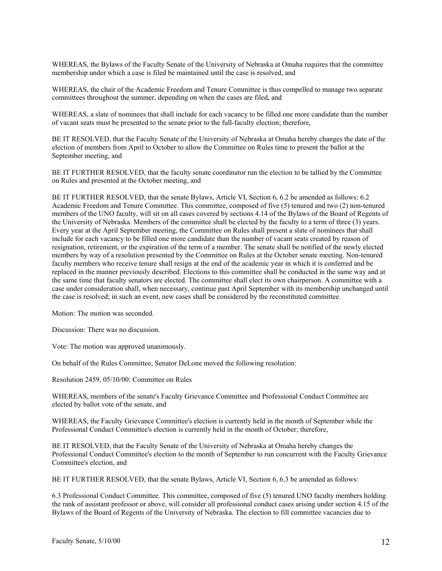WHEREAS, the Bylaws of the Faculty Senate of the University of Nebraska at Omaha requires that the committee membership under which a case is filed be maintained until the case is resolved, and

WHEREAS, the chair of the Academic Freedom and Tenure Committee is thus compelled to manage two separate committees throughout the summer, depending on when the cases are filed, and

WHEREAS, a slate of nominees that shall include for each vacancy to be filled one more candidate than the number of vacant seats must be presented to the senate prior to the full-faculty election; therefore,

BE IT RESOLVED, that the Faculty Senate of the University of Nebraska at Omaha hereby changes the date of the election of members from April to October to allow the Committee on Rules time to present the ballot at the September meeting, and

BE IT FURTHER RESOLVED, that the faculty senate coordinator run the election to be tallied by the Committee on Rules and presented at the October meeting, and

BE IT FURTHER RESOLVED, that the senate Bylaws, Article VI, Section 6, 6.2 be amended as follows: 6.2 Academic Freedom and Tenure Committee. This committee, composed of five (5) tenured and two (2) non-tenured members of the UNO faculty, will sit on all cases covered by sections 4.14 of the Bylaws of the Board of Regents of the University of Nebraska. Members of the committee shall be elected by the faculty to a term of three (3) years. Every year at the April September meeting, the Committee on Rules shall present a slate of nominees that shall include for each vacancy to be filled one more candidate than the number of vacant seats created by reason of resignation, retirement, or the expiration of the term of a member. The senate shall be notified of the newly elected members by way of a resolution presented by the Committee on Rules at the October senate meeting. Non-tenured faculty members who receive tenure shall resign at the end of the academic year in which it is conferred and be replaced in the manner previously described. Elections to this committee shall be conducted in the same way and at the same time that faculty senators are elected. The committee shall elect its own chairperson. A committee with a case under consideration shall, when necessary, continue past April September with its membership unchanged until the case is resolved; in such an event, new cases shall be considered by the reconstituted committee.

Motion: The motion was seconded.

Discussion: There was no discussion.

Vote: The motion was approved unanimously.

On behalf of the Rules Committee, Senator DeLone moved the following resolution:

Resolution 2459, 05/10/00: Committee on Rules

WHEREAS, members of the senate's Faculty Grievance Committee and Professional Conduct Committee are elected by ballot vote of the senate, and

WHEREAS, the Faculty Grievance Committee's election is currently held in the month of September while the Professional Conduct Committee's election is currently held in the month of October; therefore,

BE IT RESOLVED, that the Faculty Senate of the University of Nebraska at Omaha hereby changes the Professional Conduct Committee's election to the month of September to run concurrent with the Faculty Grievance Committee's election, and

BE IT FURTHER RESOLVED, that the senate Bylaws, Article VI, Section 6, 6.3 be amended as follows:

6.3 Professional Conduct Committee. This committee, composed of five (5) tenured UNO faculty members holding the rank of assistant professor or above, will consider all professional conduct cases arising under section 4.15 of the Bylaws of the Board of Regents of the University of Nebraska. The election to fill committee vacancies due to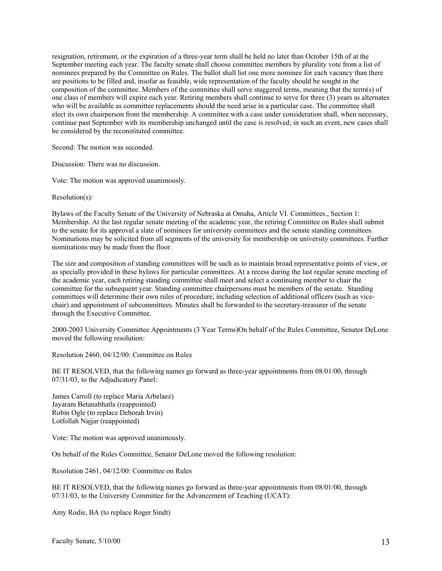resignation, retirement, or the expiration of a three-year term shall be held no later than October 15th of at the September meeting each year. The faculty senate shall choose committee members by plurality vote from a list of nominees prepared by the Committee on Rules. The ballot shall list one more nominee for each vacancy than there are positions to be filled and, insofar as feasible, wide representation of the faculty should be sought in the composition of the committee. Members of the committee shall serve staggered terms, meaning that the term(s) of one class of members will expire each year. Retiring members shall continue to serve for three (3) years as alternates who will be available as committee replacements should the need arise in a particular case. The committee shall elect its own chairperson from the membership. A committee with a case under consideration shall, when necessary, continue past September with its membership unchanged until the case is resolved; in such an event, new cases shall be considered by the reconstituted committee.

Second: The motion was seconded.

Discussion: There was no discussion.

Vote: The motion was approved unanimously.

Resolution(s):

Bylaws of the Faculty Senate of the University of Nebraska at Omaha, Article VI. Committees., Section 1: Membership. At the last regular senate meeting of the academic year, the retiring Committee on Rules shall submit to the senate for its approval a slate of nominees for university committees and the senate standing committees. Nominations may be solicited from all segments of the university for membership on university committees. Further nominations may be made from the floor.

The size and composition of standing committees will be such as to maintain broad representative points of view, or as specially provided in these bylaws for particular committees. At a recess during the last regular senate meeting of the academic year, each retiring standing committee shall meet and select a continuing member to chair the committee for the subsequent year. Standing committee chairpersons must be members of the senate. Standing committees will determine their own rules of procedure, including selection of additional officers (such as vicechair) and appointment of subcommittees. Minutes shall be forwarded to the secretary-treasurer of the senate through the Executive Committee.

2000-2003 University Committee Appointments (3 Year Terms)On behalf of the Rules Committee, Senator DeLone moved the following resolution:

Resolution 2460, 04/12/00: Committee on Rules

BE IT RESOLVED, that the following names go forward as three-year appointments from 08/01/00, through 07/31/03, to the Adjudicatory Panel:

James Carroll (to replace Maria Arbelaez) Jayaram Betanabhatla (reappointed) Robin Ogle (to replace Deborah Irvin) Lotfollah Najjar (reappointed)

Vote: The motion was approved unanimously.

On behalf of the Rules Committee, Senator DeLone moved the following resolution:

Resolution 2461, 04/12/00: Committee on Rules

BE IT RESOLVED, that the following names go forward as three-year appointments from 08/01/00, through 07/31/03, to the University Committee for the Advancement of Teaching (UCAT):

Amy Rodie, BA (to replace Roger Sindt)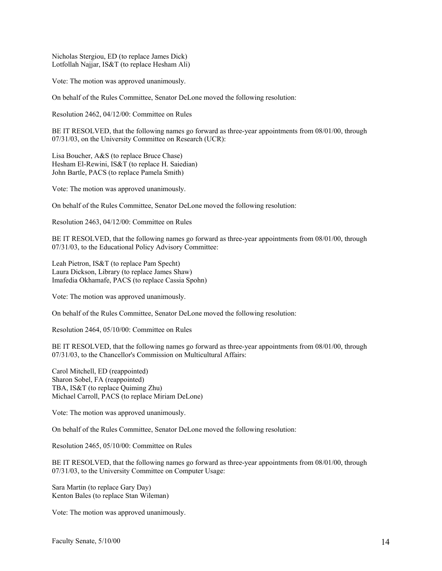Nicholas Stergiou, ED (to replace James Dick) Lotfollah Najjar, IS&T (to replace Hesham Ali)

Vote: The motion was approved unanimously.

On behalf of the Rules Committee, Senator DeLone moved the following resolution:

Resolution 2462, 04/12/00: Committee on Rules

BE IT RESOLVED, that the following names go forward as three-year appointments from 08/01/00, through 07/31/03, on the University Committee on Research (UCR):

Lisa Boucher, A&S (to replace Bruce Chase) Hesham El-Rewini, IS&T (to replace H. Saiedian) John Bartle, PACS (to replace Pamela Smith)

Vote: The motion was approved unanimously.

On behalf of the Rules Committee, Senator DeLone moved the following resolution:

Resolution 2463, 04/12/00: Committee on Rules

BE IT RESOLVED, that the following names go forward as three-year appointments from 08/01/00, through 07/31/03, to the Educational Policy Advisory Committee:

Leah Pietron, IS&T (to replace Pam Specht) Laura Dickson, Library (to replace James Shaw) Imafedia Okhamafe, PACS (to replace Cassia Spohn)

Vote: The motion was approved unanimously.

On behalf of the Rules Committee, Senator DeLone moved the following resolution:

Resolution 2464, 05/10/00: Committee on Rules

BE IT RESOLVED, that the following names go forward as three-year appointments from 08/01/00, through 07/31/03, to the Chancellor's Commission on Multicultural Affairs:

Carol Mitchell, ED (reappointed) Sharon Sobel, FA (reappointed) TBA, IS&T (to replace Quiming Zhu) Michael Carroll, PACS (to replace Miriam DeLone)

Vote: The motion was approved unanimously.

On behalf of the Rules Committee, Senator DeLone moved the following resolution:

Resolution 2465, 05/10/00: Committee on Rules

BE IT RESOLVED, that the following names go forward as three-year appointments from 08/01/00, through 07/31/03, to the University Committee on Computer Usage:

Sara Martin (to replace Gary Day) Kenton Bales (to replace Stan Wileman)

Vote: The motion was approved unanimously.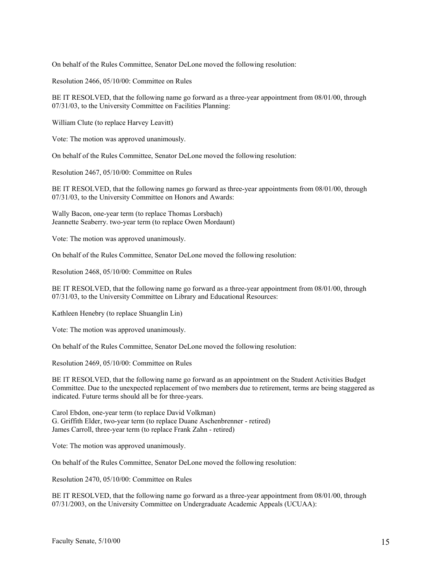On behalf of the Rules Committee, Senator DeLone moved the following resolution:

Resolution 2466, 05/10/00: Committee on Rules

BE IT RESOLVED, that the following name go forward as a three-year appointment from 08/01/00, through 07/31/03, to the University Committee on Facilities Planning:

William Clute (to replace Harvey Leavitt)

Vote: The motion was approved unanimously.

On behalf of the Rules Committee, Senator DeLone moved the following resolution:

Resolution 2467, 05/10/00: Committee on Rules

BE IT RESOLVED, that the following names go forward as three-year appointments from 08/01/00, through 07/31/03, to the University Committee on Honors and Awards:

Wally Bacon, one-year term (to replace Thomas Lorsbach) Jeannette Seaberry. two-year term (to replace Owen Mordaunt)

Vote: The motion was approved unanimously.

On behalf of the Rules Committee, Senator DeLone moved the following resolution:

Resolution 2468, 05/10/00: Committee on Rules

BE IT RESOLVED, that the following name go forward as a three-year appointment from 08/01/00, through 07/31/03, to the University Committee on Library and Educational Resources:

Kathleen Henebry (to replace Shuanglin Lin)

Vote: The motion was approved unanimously.

On behalf of the Rules Committee, Senator DeLone moved the following resolution:

Resolution 2469, 05/10/00: Committee on Rules

BE IT RESOLVED, that the following name go forward as an appointment on the Student Activities Budget Committee. Due to the unexpected replacement of two members due to retirement, terms are being staggered as indicated. Future terms should all be for three-years.

Carol Ebdon, one-year term (to replace David Volkman) G. Griffith Elder, two-year term (to replace Duane Aschenbrenner - retired) James Carroll, three-year term (to replace Frank Zahn - retired)

Vote: The motion was approved unanimously.

On behalf of the Rules Committee, Senator DeLone moved the following resolution:

Resolution 2470, 05/10/00: Committee on Rules

BE IT RESOLVED, that the following name go forward as a three-year appointment from 08/01/00, through 07/31/2003, on the University Committee on Undergraduate Academic Appeals (UCUAA):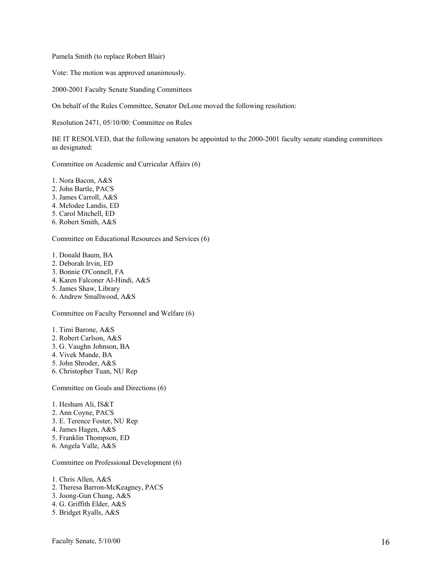Pamela Smith (to replace Robert Blair)

Vote: The motion was approved unanimously.

2000-2001 Faculty Senate Standing Committees

On behalf of the Rules Committee, Senator DeLone moved the following resolution:

Resolution 2471, 05/10/00: Committee on Rules

BE IT RESOLVED, that the following senators be appointed to the 2000-2001 faculty senate standing committees as designated:

Committee on Academic and Curricular Affairs (6)

1. Nora Bacon, A&S

- 2. John Bartle, PACS
- 3. James Carroll, A&S
- 4. Melodee Landis, ED
- 5. Carol Mitchell, ED
- 6. Robert Smith, A&S

Committee on Educational Resources and Services (6)

1. Donald Baum, BA

- 2. Deborah Irvin, ED
- 3. Bonnie O'Connell, FA
- 4. Karen Falconer Al-Hindi, A&S
- 5. James Shaw, Library
- 6. Andrew Smallwood, A&S

Committee on Faculty Personnel and Welfare (6)

1. Timi Barone, A&S

- 2. Robert Carlson, A&S
- 3. G. Vaughn Johnson, BA
- 4. Vivek Mande, BA
- 5. John Shroder, A&S
- 6. Christopher Tuan, NU Rep

Committee on Goals and Directions (6)

- 1. Hesham Ali, IS&T
- 2. Ann Coyne, PACS
- 3. E. Terence Foster, NU Rep
- 4. James Hagen, A&S
- 5. Franklin Thompson, ED
- 6. Angela Valle, A&S

Committee on Professional Development (6)

1. Chris Allen, A&S

- 2. Theresa Barron-McKeagney, PACS
- 3. Joong-Gun Chung, A&S
- 4. G. Griffith Elder, A&S
- 5. Bridget Ryalls, A&S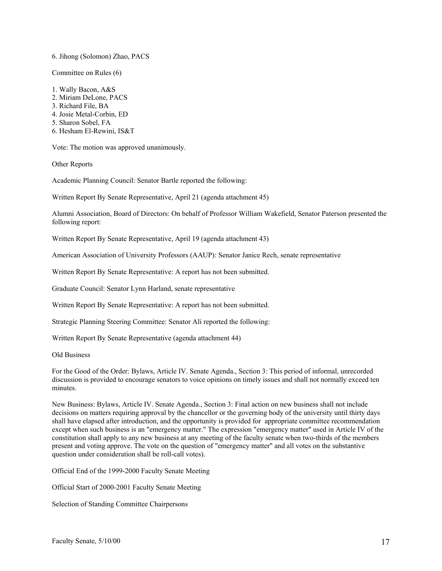#### 6. Jihong (Solomon) Zhao, PACS

Committee on Rules (6)

1. Wally Bacon, A&S 2. Miriam DeLone, PACS 3. Richard File, BA 4. Josie Metal-Corbin, ED 5. Sharon Sobel, FA 6. Hesham El-Rewini, IS&T

Vote: The motion was approved unanimously.

Other Reports

Academic Planning Council: Senator Bartle reported the following:

Written Report By Senate Representative, April 21 (agenda attachment 45)

Alumni Association, Board of Directors: On behalf of Professor William Wakefield, Senator Paterson presented the following report:

Written Report By Senate Representative, April 19 (agenda attachment 43)

American Association of University Professors (AAUP): Senator Janice Rech, senate representative

Written Report By Senate Representative: A report has not been submitted.

Graduate Council: Senator Lynn Harland, senate representative

Written Report By Senate Representative: A report has not been submitted.

Strategic Planning Steering Committee: Senator Ali reported the following:

Written Report By Senate Representative (agenda attachment 44)

Old Business

For the Good of the Order: Bylaws, Article IV. Senate Agenda., Section 3: This period of informal, unrecorded discussion is provided to encourage senators to voice opinions on timely issues and shall not normally exceed ten minutes.

New Business: Bylaws, Article IV. Senate Agenda., Section 3: Final action on new business shall not include decisions on matters requiring approval by the chancellor or the governing body of the university until thirty days shall have elapsed after introduction, and the opportunity is provided for appropriate committee recommendation except when such business is an "emergency matter." The expression "emergency matter" used in Article IV of the constitution shall apply to any new business at any meeting of the faculty senate when two-thirds of the members present and voting approve. The vote on the question of "emergency matter" and all votes on the substantive question under consideration shall be roll-call votes).

Official End of the 1999-2000 Faculty Senate Meeting

Official Start of 2000-2001 Faculty Senate Meeting

Selection of Standing Committee Chairpersons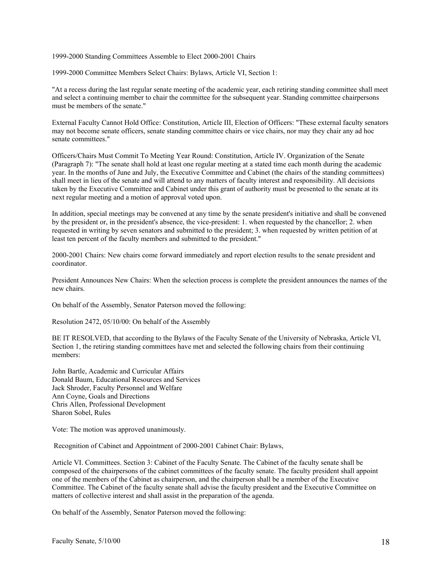1999-2000 Standing Committees Assemble to Elect 2000-2001 Chairs

1999-2000 Committee Members Select Chairs: Bylaws, Article VI, Section 1:

"At a recess during the last regular senate meeting of the academic year, each retiring standing committee shall meet and select a continuing member to chair the committee for the subsequent year. Standing committee chairpersons must be members of the senate."

External Faculty Cannot Hold Office: Constitution, Article III, Election of Officers: "These external faculty senators may not become senate officers, senate standing committee chairs or vice chairs, nor may they chair any ad hoc senate committees."

Officers/Chairs Must Commit To Meeting Year Round: Constitution, Article IV. Organization of the Senate (Paragraph 7): "The senate shall hold at least one regular meeting at a stated time each month during the academic year. In the months of June and July, the Executive Committee and Cabinet (the chairs of the standing committees) shall meet in lieu of the senate and will attend to any matters of faculty interest and responsibility. All decisions taken by the Executive Committee and Cabinet under this grant of authority must be presented to the senate at its next regular meeting and a motion of approval voted upon.

In addition, special meetings may be convened at any time by the senate president's initiative and shall be convened by the president or, in the president's absence, the vice-president: 1. when requested by the chancellor; 2. when requested in writing by seven senators and submitted to the president; 3. when requested by written petition of at least ten percent of the faculty members and submitted to the president."

2000-2001 Chairs: New chairs come forward immediately and report election results to the senate president and coordinator.

President Announces New Chairs: When the selection process is complete the president announces the names of the new chairs.

On behalf of the Assembly, Senator Paterson moved the following:

Resolution 2472, 05/10/00: On behalf of the Assembly

BE IT RESOLVED, that according to the Bylaws of the Faculty Senate of the University of Nebraska, Article VI, Section 1, the retiring standing committees have met and selected the following chairs from their continuing members:

John Bartle, Academic and Curricular Affairs Donald Baum, Educational Resources and Services Jack Shroder, Faculty Personnel and Welfare Ann Coyne, Goals and Directions Chris Allen, Professional Development Sharon Sobel, Rules

Vote: The motion was approved unanimously.

Recognition of Cabinet and Appointment of 2000-2001 Cabinet Chair: Bylaws,

Article VI. Committees. Section 3: Cabinet of the Faculty Senate. The Cabinet of the faculty senate shall be composed of the chairpersons of the cabinet committees of the faculty senate. The faculty president shall appoint one of the members of the Cabinet as chairperson, and the chairperson shall be a member of the Executive Committee. The Cabinet of the faculty senate shall advise the faculty president and the Executive Committee on matters of collective interest and shall assist in the preparation of the agenda.

On behalf of the Assembly, Senator Paterson moved the following: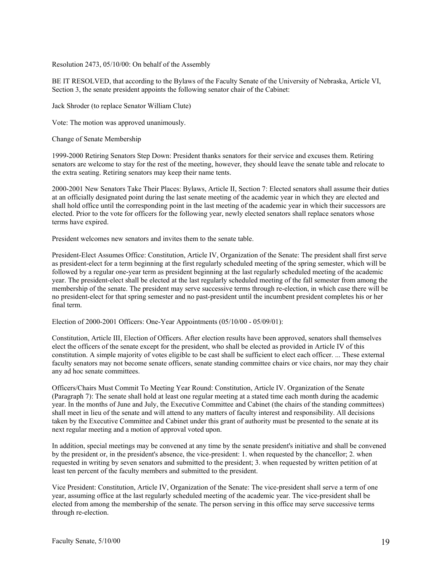Resolution 2473, 05/10/00: On behalf of the Assembly

BE IT RESOLVED, that according to the Bylaws of the Faculty Senate of the University of Nebraska, Article VI, Section 3, the senate president appoints the following senator chair of the Cabinet:

Jack Shroder (to replace Senator William Clute)

Vote: The motion was approved unanimously.

Change of Senate Membership

1999-2000 Retiring Senators Step Down: President thanks senators for their service and excuses them. Retiring senators are welcome to stay for the rest of the meeting, however, they should leave the senate table and relocate to the extra seating. Retiring senators may keep their name tents.

2000-2001 New Senators Take Their Places: Bylaws, Article II, Section 7: Elected senators shall assume their duties at an officially designated point during the last senate meeting of the academic year in which they are elected and shall hold office until the corresponding point in the last meeting of the academic year in which their successors are elected. Prior to the vote for officers for the following year, newly elected senators shall replace senators whose terms have expired.

President welcomes new senators and invites them to the senate table.

President-Elect Assumes Office: Constitution, Article IV, Organization of the Senate: The president shall first serve as president-elect for a term beginning at the first regularly scheduled meeting of the spring semester, which will be followed by a regular one-year term as president beginning at the last regularly scheduled meeting of the academic year. The president-elect shall be elected at the last regularly scheduled meeting of the fall semester from among the membership of the senate. The president may serve successive terms through re-election, in which case there will be no president-elect for that spring semester and no past-president until the incumbent president completes his or her final term.

Election of 2000-2001 Officers: One-Year Appointments (05/10/00 - 05/09/01):

Constitution, Article III, Election of Officers. After election results have been approved, senators shall themselves elect the officers of the senate except for the president, who shall be elected as provided in Article IV of this constitution. A simple majority of votes eligible to be cast shall be sufficient to elect each officer. ... These external faculty senators may not become senate officers, senate standing committee chairs or vice chairs, nor may they chair any ad hoc senate committees.

Officers/Chairs Must Commit To Meeting Year Round: Constitution, Article IV. Organization of the Senate (Paragraph 7): The senate shall hold at least one regular meeting at a stated time each month during the academic year. In the months of June and July, the Executive Committee and Cabinet (the chairs of the standing committees) shall meet in lieu of the senate and will attend to any matters of faculty interest and responsibility. All decisions taken by the Executive Committee and Cabinet under this grant of authority must be presented to the senate at its next regular meeting and a motion of approval voted upon.

In addition, special meetings may be convened at any time by the senate president's initiative and shall be convened by the president or, in the president's absence, the vice-president: 1. when requested by the chancellor; 2. when requested in writing by seven senators and submitted to the president; 3. when requested by written petition of at least ten percent of the faculty members and submitted to the president.

Vice President: Constitution, Article IV, Organization of the Senate: The vice-president shall serve a term of one year, assuming office at the last regularly scheduled meeting of the academic year. The vice-president shall be elected from among the membership of the senate. The person serving in this office may serve successive terms through re-election.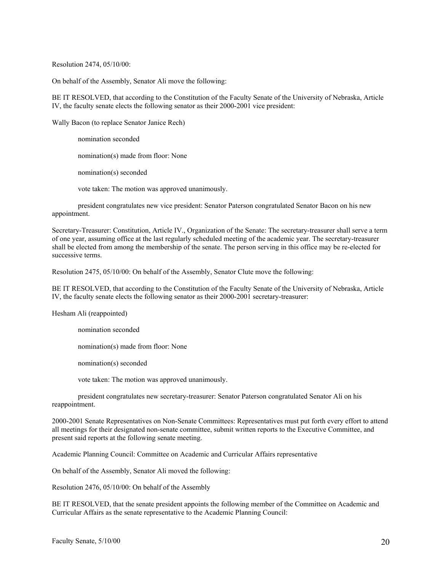Resolution 2474, 05/10/00:

On behalf of the Assembly, Senator Ali move the following:

BE IT RESOLVED, that according to the Constitution of the Faculty Senate of the University of Nebraska, Article IV, the faculty senate elects the following senator as their 2000-2001 vice president:

Wally Bacon (to replace Senator Janice Rech)

nomination seconded nomination(s) made from floor: None nomination(s) seconded vote taken: The motion was approved unanimously.

president congratulates new vice president: Senator Paterson congratulated Senator Bacon on his new appointment.

Secretary-Treasurer: Constitution, Article IV., Organization of the Senate: The secretary-treasurer shall serve a term of one year, assuming office at the last regularly scheduled meeting of the academic year. The secretary-treasurer shall be elected from among the membership of the senate. The person serving in this office may be re-elected for successive terms.

Resolution 2475, 05/10/00: On behalf of the Assembly, Senator Clute move the following:

BE IT RESOLVED, that according to the Constitution of the Faculty Senate of the University of Nebraska, Article IV, the faculty senate elects the following senator as their 2000-2001 secretary-treasurer:

Hesham Ali (reappointed)

nomination seconded

nomination(s) made from floor: None

nomination(s) seconded

vote taken: The motion was approved unanimously.

president congratulates new secretary-treasurer: Senator Paterson congratulated Senator Ali on his reappointment.

2000-2001 Senate Representatives on Non-Senate Committees: Representatives must put forth every effort to attend all meetings for their designated non-senate committee, submit written reports to the Executive Committee, and present said reports at the following senate meeting.

Academic Planning Council: Committee on Academic and Curricular Affairs representative

On behalf of the Assembly, Senator Ali moved the following:

Resolution 2476, 05/10/00: On behalf of the Assembly

BE IT RESOLVED, that the senate president appoints the following member of the Committee on Academic and Curricular Affairs as the senate representative to the Academic Planning Council: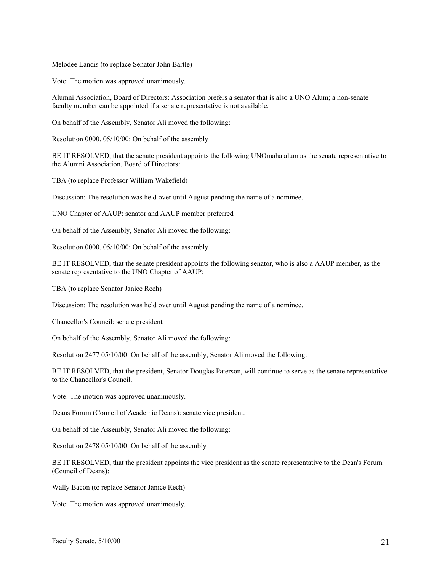Melodee Landis (to replace Senator John Bartle)

Vote: The motion was approved unanimously.

Alumni Association, Board of Directors: Association prefers a senator that is also a UNO Alum; a non-senate faculty member can be appointed if a senate representative is not available.

On behalf of the Assembly, Senator Ali moved the following:

Resolution 0000, 05/10/00: On behalf of the assembly

BE IT RESOLVED, that the senate president appoints the following UNOmaha alum as the senate representative to the Alumni Association, Board of Directors:

TBA (to replace Professor William Wakefield)

Discussion: The resolution was held over until August pending the name of a nominee.

UNO Chapter of AAUP: senator and AAUP member preferred

On behalf of the Assembly, Senator Ali moved the following:

Resolution 0000, 05/10/00: On behalf of the assembly

BE IT RESOLVED, that the senate president appoints the following senator, who is also a AAUP member, as the senate representative to the UNO Chapter of AAUP:

TBA (to replace Senator Janice Rech)

Discussion: The resolution was held over until August pending the name of a nominee.

Chancellor's Council: senate president

On behalf of the Assembly, Senator Ali moved the following:

Resolution 2477 05/10/00: On behalf of the assembly, Senator Ali moved the following:

BE IT RESOLVED, that the president, Senator Douglas Paterson, will continue to serve as the senate representative to the Chancellor's Council.

Vote: The motion was approved unanimously.

Deans Forum (Council of Academic Deans): senate vice president.

On behalf of the Assembly, Senator Ali moved the following:

Resolution 2478 05/10/00: On behalf of the assembly

BE IT RESOLVED, that the president appoints the vice president as the senate representative to the Dean's Forum (Council of Deans):

Wally Bacon (to replace Senator Janice Rech)

Vote: The motion was approved unanimously.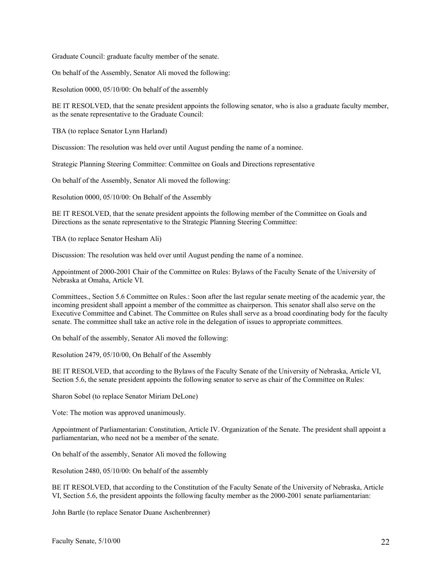Graduate Council: graduate faculty member of the senate.

On behalf of the Assembly, Senator Ali moved the following:

Resolution 0000, 05/10/00: On behalf of the assembly

BE IT RESOLVED, that the senate president appoints the following senator, who is also a graduate faculty member, as the senate representative to the Graduate Council:

TBA (to replace Senator Lynn Harland)

Discussion: The resolution was held over until August pending the name of a nominee.

Strategic Planning Steering Committee: Committee on Goals and Directions representative

On behalf of the Assembly, Senator Ali moved the following:

Resolution 0000, 05/10/00: On Behalf of the Assembly

BE IT RESOLVED, that the senate president appoints the following member of the Committee on Goals and Directions as the senate representative to the Strategic Planning Steering Committee:

TBA (to replace Senator Hesham Ali)

Discussion: The resolution was held over until August pending the name of a nominee.

Appointment of 2000-2001 Chair of the Committee on Rules: Bylaws of the Faculty Senate of the University of Nebraska at Omaha, Article VI.

Committees., Section 5.6 Committee on Rules.: Soon after the last regular senate meeting of the academic year, the incoming president shall appoint a member of the committee as chairperson. This senator shall also serve on the Executive Committee and Cabinet. The Committee on Rules shall serve as a broad coordinating body for the faculty senate. The committee shall take an active role in the delegation of issues to appropriate committees.

On behalf of the assembly, Senator Ali moved the following:

Resolution 2479, 05/10/00, On Behalf of the Assembly

BE IT RESOLVED, that according to the Bylaws of the Faculty Senate of the University of Nebraska, Article VI, Section 5.6, the senate president appoints the following senator to serve as chair of the Committee on Rules:

Sharon Sobel (to replace Senator Miriam DeLone)

Vote: The motion was approved unanimously.

Appointment of Parliamentarian: Constitution, Article IV. Organization of the Senate. The president shall appoint a parliamentarian, who need not be a member of the senate.

On behalf of the assembly, Senator Ali moved the following

Resolution 2480, 05/10/00: On behalf of the assembly

BE IT RESOLVED, that according to the Constitution of the Faculty Senate of the University of Nebraska, Article VI, Section 5.6, the president appoints the following faculty member as the 2000-2001 senate parliamentarian:

John Bartle (to replace Senator Duane Aschenbrenner)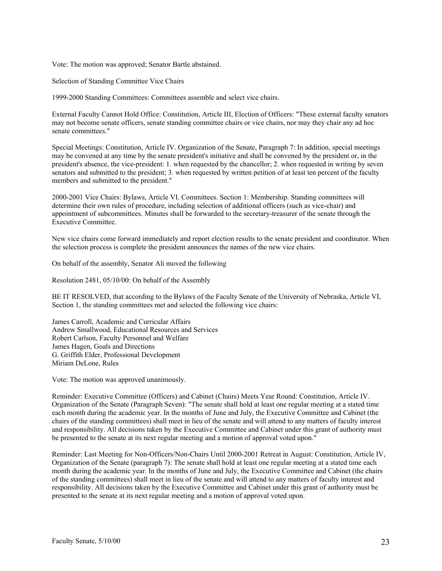Vote: The motion was approved; Senator Bartle abstained.

Selection of Standing Committee Vice Chairs

1999-2000 Standing Committees: Committees assemble and select vice chairs.

External Faculty Cannot Hold Office: Constitution, Article III, Election of Officers: "These external faculty senators may not become senate officers, senate standing committee chairs or vice chairs, nor may they chair any ad hoc senate committees."

Special Meetings: Constitution, Article IV. Organization of the Senate, Paragraph 7: In addition, special meetings may be convened at any time by the senate president's initiative and shall be convened by the president or, in the president's absence, the vice-president: 1. when requested by the chancellor; 2. when requested in writing by seven senators and submitted to the president; 3. when requested by written petition of at least ten percent of the faculty members and submitted to the president."

2000-2001 Vice Chairs: Bylaws, Article VI. Committees. Section 1: Membership. Standing committees will determine their own rules of procedure, including selection of additional officers (such as vice-chair) and appointment of subcommittees. Minutes shall be forwarded to the secretary-treasurer of the senate through the Executive Committee.

New vice chairs come forward immediately and report election results to the senate president and coordinator. When the selection process is complete the president announces the names of the new vice chairs.

On behalf of the assembly, Senator Ali moved the following

Resolution 2481, 05/10/00: On behalf of the Assembly

BE IT RESOLVED, that according to the Bylaws of the Faculty Senate of the University of Nebraska, Article VI, Section 1, the standing committees met and selected the following vice chairs:

James Carroll, Academic and Curricular Affairs Andrew Smallwood, Educational Resources and Services Robert Carlson, Faculty Personnel and Welfare James Hagen, Goals and Directions G. Griffith Elder, Professional Development Miriam DeLone, Rules

Vote: The motion was approved unanimously.

Reminder: Executive Committee (Officers) and Cabinet (Chairs) Meets Year Round: Constitution, Article IV. Organization of the Senate (Paragraph Seven): "The senate shall hold at least one regular meeting at a stated time each month during the academic year. In the months of June and July, the Executive Committee and Cabinet (the chairs of the standing committees) shall meet in lieu of the senate and will attend to any matters of faculty interest and responsibility. All decisions taken by the Executive Committee and Cabinet under this grant of authority must be presented to the senate at its next regular meeting and a motion of approval voted upon."

Reminder: Last Meeting for Non-Officers/Non-Chairs Until 2000-2001 Retreat in August: Constitution, Article IV, Organization of the Senate (paragraph 7): The senate shall hold at least one regular meeting at a stated time each month during the academic year. In the months of June and July, the Executive Committee and Cabinet (the chairs of the standing committees) shall meet in lieu of the senate and will attend to any matters of faculty interest and responsibility. All decisions taken by the Executive Committee and Cabinet under this grant of authority must be presented to the senate at its next regular meeting and a motion of approval voted upon.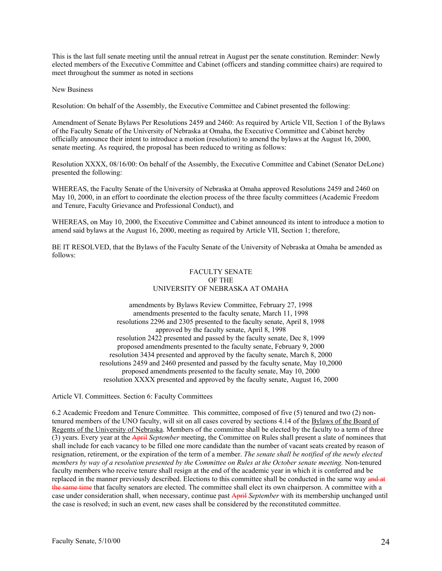This is the last full senate meeting until the annual retreat in August per the senate constitution. Reminder: Newly elected members of the Executive Committee and Cabinet (officers and standing committee chairs) are required to meet throughout the summer as noted in sections

New Business

Resolution: On behalf of the Assembly, the Executive Committee and Cabinet presented the following:

Amendment of Senate Bylaws Per Resolutions 2459 and 2460: As required by Article VII, Section 1 of the Bylaws of the Faculty Senate of the University of Nebraska at Omaha, the Executive Committee and Cabinet hereby officially announce their intent to introduce a motion (resolution) to amend the bylaws at the August 16, 2000, senate meeting. As required, the proposal has been reduced to writing as follows:

Resolution XXXX, 08/16/00: On behalf of the Assembly, the Executive Committee and Cabinet (Senator DeLone) presented the following:

WHEREAS, the Faculty Senate of the University of Nebraska at Omaha approved Resolutions 2459 and 2460 on May 10, 2000, in an effort to coordinate the election process of the three faculty committees (Academic Freedom and Tenure, Faculty Grievance and Professional Conduct), and

WHEREAS, on May 10, 2000, the Executive Committee and Cabinet announced its intent to introduce a motion to amend said bylaws at the August 16, 2000, meeting as required by Article VII, Section 1; therefore,

BE IT RESOLVED, that the Bylaws of the Faculty Senate of the University of Nebraska at Omaha be amended as follows:

### FACULTY SENATE OF THE UNIVERSITY OF NEBRASKA AT OMAHA

amendments by Bylaws Review Committee, February 27, 1998 amendments presented to the faculty senate, March 11, 1998 resolutions 2296 and 2305 presented to the faculty senate, April 8, 1998 approved by the faculty senate, April 8, 1998 resolution 2422 presented and passed by the faculty senate, Dec 8, 1999 proposed amendments presented to the faculty senate, February 9, 2000 resolution 3434 presented and approved by the faculty senate, March 8, 2000 resolutions 2459 and 2460 presented and passed by the faculty senate, May 10,2000 proposed amendments presented to the faculty senate, May 10, 2000 resolution XXXX presented and approved by the faculty senate, August 16, 2000

Article VI. Committees. Section 6: Faculty Committees

6.2 Academic Freedom and Tenure Committee. This committee, composed of five (5) tenured and two (2) nontenured members of the UNO faculty, will sit on all cases covered by sections 4.14 of the Bylaws of the Board of Regents of the University of Nebraska. Members of the committee shall be elected by the faculty to a term of three (3) years. Every year at the April *September* meeting, the Committee on Rules shall present a slate of nominees that shall include for each vacancy to be filled one more candidate than the number of vacant seats created by reason of resignation, retirement, or the expiration of the term of a member. *The senate shall be notified of the newly elected members by way of a resolution presented by the Committee on Rules at the October senate meeting.* Non-tenured faculty members who receive tenure shall resign at the end of the academic year in which it is conferred and be replaced in the manner previously described. Elections to this committee shall be conducted in the same way and at the same time that faculty senators are elected. The committee shall elect its own chairperson. A committee with a case under consideration shall, when necessary, continue past April *September* with its membership unchanged until the case is resolved; in such an event, new cases shall be considered by the reconstituted committee.